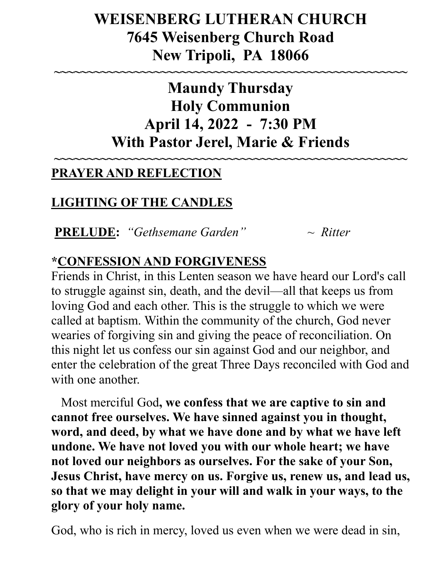# **WEISENBERG LUTHERAN CHURCH 7645 Weisenberg Church Road New Tripoli, PA 18066**

**~~~~~~~~~~~~~~~~~~~~~~~~~~~~~~~~~~~~~~~~~~~~~~~~~~~~~**

**Maundy Thursday Holy Communion April 14, 2022 - 7:30 PM With Pastor Jerel, Marie & Friends**

**~~~~~~~~~~~~~~~~~~~~~~~~~~~~~~~~~~~~~~~~~~~~~~~~~~~~~**

### **PRAYER AND REFLECTION**

## **LIGHTING OF THE CANDLES**

**PRELUDE:** *"Gethsemane Garden" ~ Ritter*

### **\*CONFESSION AND FORGIVENESS**

Friends in Christ, in this Lenten season we have heard our Lord's call to struggle against sin, death, and the devil—all that keeps us from loving God and each other. This is the struggle to which we were called at baptism. Within the community of the church, God never wearies of forgiving sin and giving the peace of reconciliation. On this night let us confess our sin against God and our neighbor, and enter the celebration of the great Three Days reconciled with God and with one another.

 Most merciful God**, we confess that we are captive to sin and cannot free ourselves. We have sinned against you in thought, word, and deed, by what we have done and by what we have left undone. We have not loved you with our whole heart; we have not loved our neighbors as ourselves. For the sake of your Son, Jesus Christ, have mercy on us. Forgive us, renew us, and lead us, so that we may delight in your will and walk in your ways, to the glory of your holy name.** 

God, who is rich in mercy, loved us even when we were dead in sin,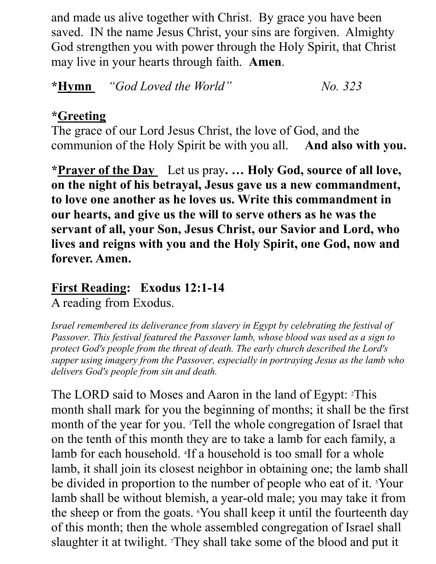and made us alive together with Christ. By grace you have been saved. IN the name Jesus Christ, your sins are forgiven. Almighty God strengthen you with power through the Holy Spirit, that Christ may live in your hearts through faith. **Amen**.

**\*Hymn** *"God Loved the World" No. 323*

#### **\*Greeting**

The grace of our Lord Jesus Christ, the love of God, and the communion of the Holy Spirit be with you all. **And also with you.**

**\*Prayer of the Day** Let us pray**. … Holy God, source of all love, on the night of his betrayal, Jesus gave us a new commandment, to love one another as he loves us. Write this commandment in our hearts, and give us the will to serve others as he was the servant of all, your Son, Jesus Christ, our Savior and Lord, who lives and reigns with you and the Holy Spirit, one God, now and forever. Amen.**

## **First Reading: Exodus 12:1-14**

A reading from Exodus.

*Israel remembered its deliverance from slavery in Egypt by celebrating the festival of Passover. This festival featured the Passover lamb, whose blood was used as a sign to protect God's people from the threat of death. The early church described the Lord's supper using imagery from the Passover, especially in portraying Jesus as the lamb who delivers God's people from sin and death.*

The LORD said to Moses and Aaron in the land of Egypt: 2This month shall mark for you the beginning of months; it shall be the first month of the year for you. 3Tell the whole congregation of Israel that on the tenth of this month they are to take a lamb for each family, a lamb for each household. <sup>4</sup> If a household is too small for a whole lamb, it shall join its closest neighbor in obtaining one; the lamb shall be divided in proportion to the number of people who eat of it. <sup>5</sup>Your lamb shall be without blemish, a year-old male; you may take it from the sheep or from the goats. 6You shall keep it until the fourteenth day of this month; then the whole assembled congregation of Israel shall slaughter it at twilight. They shall take some of the blood and put it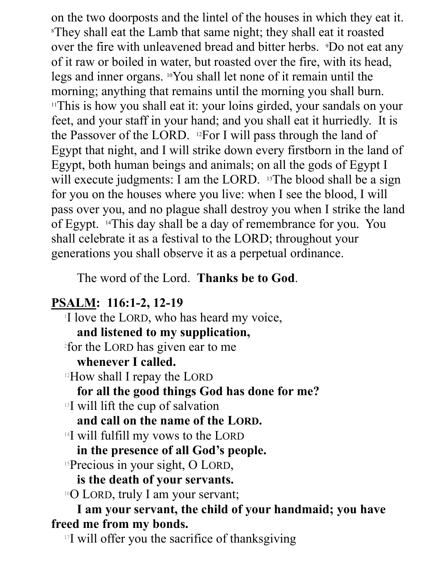on the two doorposts and the lintel of the houses in which they eat it. <sup>8</sup>They shall eat the Lamb that same night; they shall eat it roasted over the fire with unleavened bread and bitter herbs. *Po* not eat any of it raw or boiled in water, but roasted over the fire, with its head, legs and inner organs. 10You shall let none of it remain until the morning; anything that remains until the morning you shall burn. <sup>11</sup>This is how you shall eat it: your loins girded, your sandals on your feet, and your staff in your hand; and you shall eat it hurriedly. It is the Passover of the LORD. 12For I will pass through the land of Egypt that night, and I will strike down every firstborn in the land of Egypt, both human beings and animals; on all the gods of Egypt I will execute judgments: I am the LORD. <sup>13</sup>The blood shall be a sign for you on the houses where you live: when I see the blood, I will pass over you, and no plague shall destroy you when I strike the land of Egypt. 14This day shall be a day of remembrance for you. You shall celebrate it as a festival to the LORD; throughout your generations you shall observe it as a perpetual ordinance.

The word of the Lord. **Thanks be to God**.

### **PSALM: 116:1-2, 12-19**

I love the LORD, who has heard my voice, **and listened to my supplication,** 2 for the LORD has given ear to me **whenever I called.** <sup>12</sup>How shall I repay the LORD **for all the good things God has done for me?** <sup>13</sup>I will lift the cup of salvation **and call on the name of the LORD.** <sup>14</sup>I will fulfill my vows to the LORD **in the presence of all God's people.** <sup>15</sup>Precious in your sight, O LORD, **is the death of your servants.** <sup>16</sup>O LORD, truly I am your servant; **I am your servant, the child of your handmaid; you have freed me from my bonds.**

<sup>17</sup>I will offer you the sacrifice of thanksgiving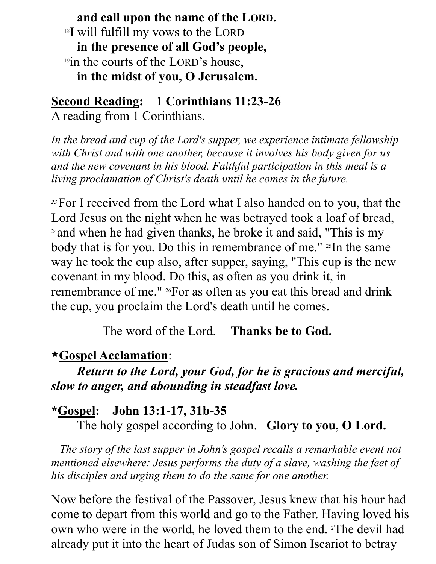**and call upon the name of the LORD.** <sup>18</sup>I will fulfill my vows to the LORD **in the presence of all God's people,** <sup>19</sup>in the courts of the LORD's house, **in the midst of you, O Jerusalem.** 

**Second Reading: 1 Corinthians 11:23-26**  A reading from 1 Corinthians.

*In the bread and cup of the Lord's supper, we experience intimate fellowship with Christ and with one another, because it involves his body given for us and the new covenant in his blood. Faithful participation in this meal is a living proclamation of Christ's death until he comes in the future.*

*<sup>23</sup>*For I received from the Lord what I also handed on to you, that the Lord Jesus on the night when he was betrayed took a loaf of bread, <sup>24</sup>and when he had given thanks, he broke it and said, "This is my body that is for you. Do this in remembrance of me." <sup>25</sup>In the same way he took the cup also, after supper, saying, "This cup is the new covenant in my blood. Do this, as often as you drink it, in remembrance of me." 26For as often as you eat this bread and drink the cup, you proclaim the Lord's death until he comes.

The word of the Lord. **Thanks be to God.**

### **\*Gospel Acclamation**:

*Return to the Lord, your God, for he is gracious and merciful, slow to anger, and abounding in steadfast love.*

### **\*Gospel: John 13:1-17, 31b-35**

The holy gospel according to John. **Glory to you, O Lord.**

 *The story of the last supper in John's gospel recalls a remarkable event not mentioned elsewhere: Jesus performs the duty of a slave, washing the feet of his disciples and urging them to do the same for one another.*

Now before the festival of the Passover, Jesus knew that his hour had come to depart from this world and go to the Father. Having loved his own who were in the world, he loved them to the end. 2The devil had already put it into the heart of Judas son of Simon Iscariot to betray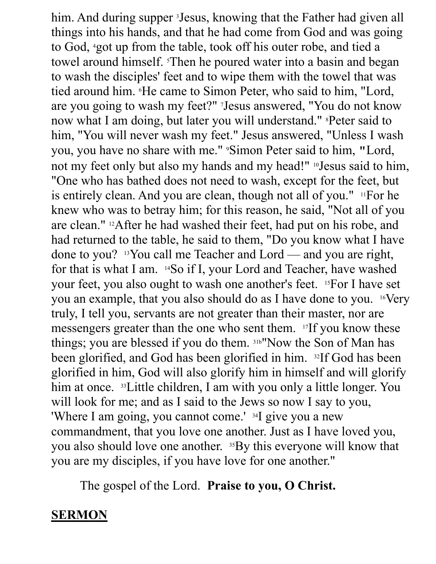him. And during supper <sup>3</sup>Jesus, knowing that the Father had given all things into his hands, and that he had come from God and was going to God, 4got up from the table, took off his outer robe, and tied a towel around himself. 5Then he poured water into a basin and began to wash the disciples' feet and to wipe them with the towel that was tied around him. 6He came to Simon Peter, who said to him, "Lord, are you going to wash my feet?" 7Jesus answered, "You do not know now what I am doing, but later you will understand." <sup>8</sup>Peter said to him, "You will never wash my feet." Jesus answered, "Unless I wash you, you have no share with me." 9Simon Peter said to him, "Lord, not my feet only but also my hands and my head!" 10Jesus said to him, "One who has bathed does not need to wash, except for the feet, but is entirely clean. And you are clean, though not all of you." 11For he knew who was to betray him; for this reason, he said, "Not all of you are clean." 12After he had washed their feet, had put on his robe, and had returned to the table, he said to them, "Do you know what I have done to you? 13You call me Teacher and Lord — and you are right, for that is what I am. 14So if I, your Lord and Teacher, have washed your feet, you also ought to wash one another's feet. 15For I have set you an example, that you also should do as I have done to you. 16Very truly, I tell you, servants are not greater than their master, nor are messengers greater than the one who sent them. 17If you know these things; you are blessed if you do them. 31b"Now the Son of Man has been glorified, and God has been glorified in him. 32If God has been glorified in him, God will also glorify him in himself and will glorify him at once. <sup>33</sup>Little children, I am with you only a little longer. You will look for me; and as I said to the Jews so now I say to you, 'Where I am going, you cannot come.' <sup>34</sup>I give you a new commandment, that you love one another. Just as I have loved you, you also should love one another. 35By this everyone will know that you are my disciples, if you have love for one another."

The gospel of the Lord. **Praise to you, O Christ.**

### **SERMON**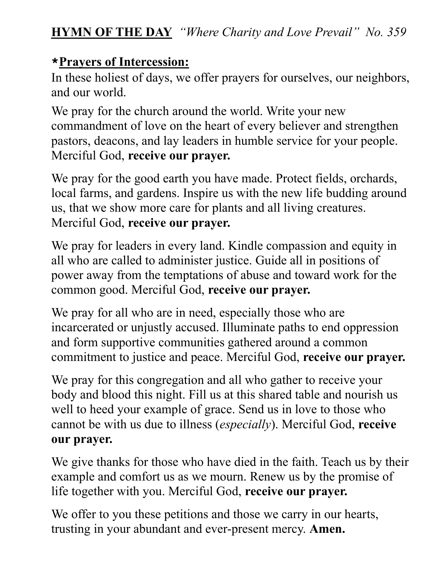#### **\*Prayers of Intercession:**

In these holiest of days, we offer prayers for ourselves, our neighbors, and our world.

We pray for the church around the world. Write your new commandment of love on the heart of every believer and strengthen pastors, deacons, and lay leaders in humble service for your people. Merciful God, **receive our prayer.**

We pray for the good earth you have made. Protect fields, orchards, local farms, and gardens. Inspire us with the new life budding around us, that we show more care for plants and all living creatures. Merciful God, **receive our prayer.**

We pray for leaders in every land. Kindle compassion and equity in all who are called to administer justice. Guide all in positions of power away from the temptations of abuse and toward work for the common good. Merciful God, **receive our prayer.**

We pray for all who are in need, especially those who are incarcerated or unjustly accused. Illuminate paths to end oppression and form supportive communities gathered around a common commitment to justice and peace. Merciful God, **receive our prayer.**

We pray for this congregation and all who gather to receive your body and blood this night. Fill us at this shared table and nourish us well to heed your example of grace. Send us in love to those who cannot be with us due to illness (*especially*). Merciful God, **receive our prayer.**

We give thanks for those who have died in the faith. Teach us by their example and comfort us as we mourn. Renew us by the promise of life together with you. Merciful God, **receive our prayer.**

We offer to you these petitions and those we carry in our hearts, trusting in your abundant and ever-present mercy. **Amen.**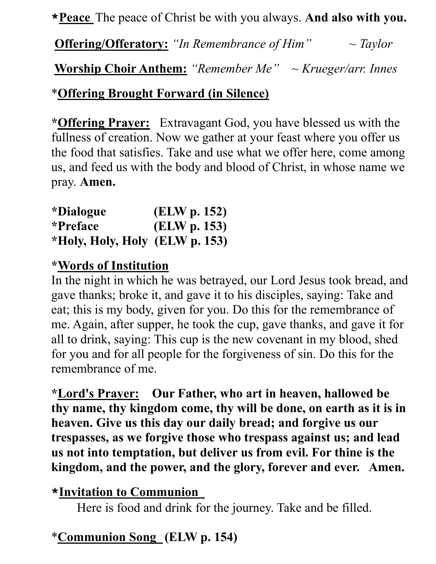**\*Peace** The peace of Christ be with you always. **And also with you.**

**Offering/Offeratory:** *"In Remembrance of Him" ~ Taylor*

**Worship Choir Anthem:** *"Remember Me" ~ Krueger/arr. Innes*

#### \***Offering Brought Forward (in Silence)**

**\*Offering Prayer:** Extravagant God, you have blessed us with the fullness of creation. Now we gather at your feast where you offer us the food that satisfies. Take and use what we offer here, come among us, and feed us with the body and blood of Christ, in whose name we pray. **Amen.**

| <i>*Dialogue</i>               | (ELW p. 152) |
|--------------------------------|--------------|
| <i>*Preface</i>                | (ELW p. 153) |
| *Holy, Holy, Holy (ELW p. 153) |              |

#### **\*Words of Institution**

In the night in which he was betrayed, our Lord Jesus took bread, and gave thanks; broke it, and gave it to his disciples, saying: Take and eat; this is my body, given for you. Do this for the remembrance of me. Again, after supper, he took the cup, gave thanks, and gave it for all to drink, saying: This cup is the new covenant in my blood, shed for you and for all people for the forgiveness of sin. Do this for the remembrance of me.

**\*Lord's Prayer: Our Father, who art in heaven, hallowed be thy name, thy kingdom come, thy will be done, on earth as it is in heaven. Give us this day our daily bread; and forgive us our trespasses, as we forgive those who trespass against us; and lead us not into temptation, but deliver us from evil. For thine is the kingdom, and the power, and the glory, forever and ever. Amen.**

#### **\*Invitation to Communion**

Here is food and drink for the journey. Take and be filled.

## \***Communion Song (ELW p. 154)**